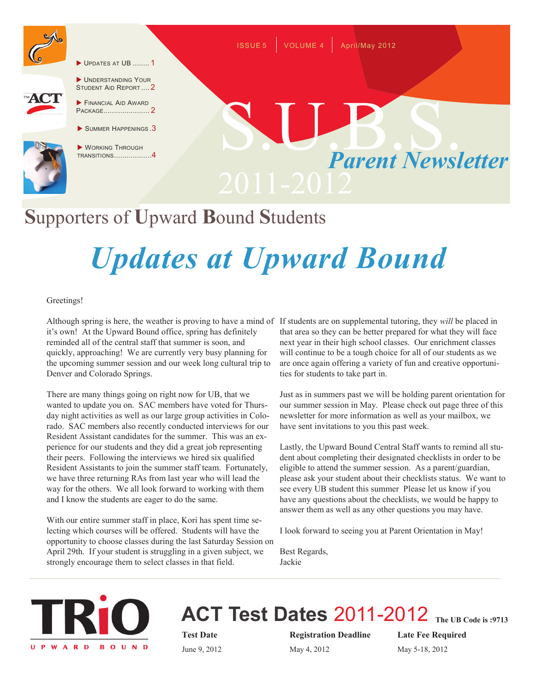

UPDATES AT UB ........ 1



UNDERSTANDING YOUR STUDENT AID REPORT .... 2

- **FINANCIAL AID AWARD** PACKAGE...................... 2
- SUMMER HAPPENINGS.3



WORKING THROUGH TRANSITIONS..................4

# *Parent Newsletter* S.U.B. Sous

ISSUE 5 VOLUME 4 April/May 2012

## **S**upporters of **U**pward **B**ound **S**tudents

## *Updates at Upward Bound*

#### Greetings!

Although spring is here, the weather is proving to have a mind of If students are on supplemental tutoring, they *will* be placed in it's own! At the Upward Bound office, spring has definitely reminded all of the central staff that summer is soon, and quickly, approaching! We are currently very busy planning for the upcoming summer session and our week long cultural trip to Denver and Colorado Springs.

There are many things going on right now for UB, that we wanted to update you on. SAC members have voted for Thursday night activities as well as our large group activities in Colorado. SAC members also recently conducted interviews for our Resident Assistant candidates for the summer. This was an experience for our students and they did a great job representing their peers. Following the interviews we hired six qualified Resident Assistants to join the summer staff team. Fortunately, we have three returning RAs from last year who will lead the way for the others. We all look forward to working with them and I know the students are eager to do the same.

With our entire summer staff in place, Kori has spent time selecting which courses will be offered. Students will have the opportunity to choose classes during the last Saturday Session on April 29th. If your student is struggling in a given subject, we strongly encourage them to select classes in that field.

that area so they can be better prepared for what they will face next year in their high school classes. Our enrichment classes will continue to be a tough choice for all of our students as we are once again offering a variety of fun and creative opportunities for students to take part in.

Just as in summers past we will be holding parent orientation for our summer session in May. Please check out page three of this newsletter for more information as well as your mailbox, we have sent invitations to you this past week.

Lastly, the Upward Bound Central Staff wants to remind all student about completing their designated checklists in order to be eligible to attend the summer session. As a parent/guardian, please ask your student about their checklists status. We want to see every UB student this summer Please let us know if you have any questions about the checklists, we would be happy to answer them as well as any other questions you may have.

I look forward to seeing you at Parent Orientation in May!

Best Regards, Jackie



#### **ACT Test Dates** 2011-2012 **The UB Code is :9713**

**Test Date Registration Deadline Late Fee Required** June 9, 2012 May 4, 2012 May 5-18, 2012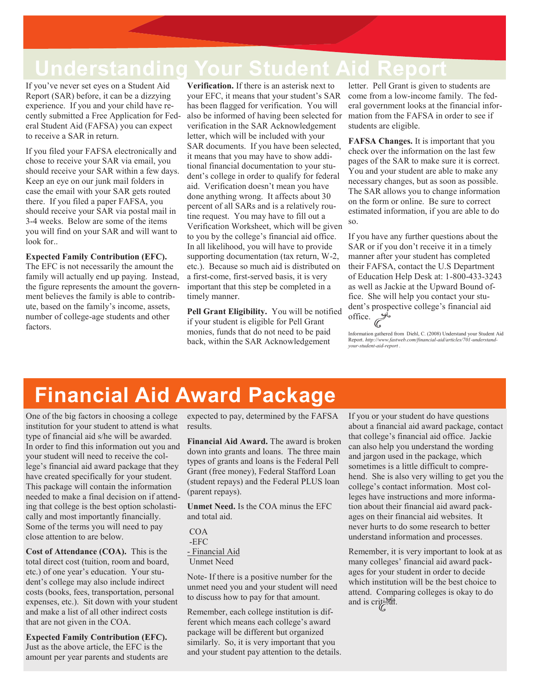### **Understanding Your Student Aid Report**

If you've never set eyes on a Student Aid Report (SAR) before, it can be a dizzying experience. If you and your child have recently submitted a Free Application for Federal Student Aid (FAFSA) you can expect to receive a SAR in return.

If you filed your FAFSA electronically and chose to receive your SAR via email, you should receive your SAR within a few days. Keep an eye on our junk mail folders in case the email with your SAR gets routed there. If you filed a paper FAFSA, you should receive your SAR via postal mail in 3-4 weeks. Below are some of the items you will find on your SAR and will want to look for..

**Expected Family Contribution (EFC).** The EFC is not necessarily the amount the family will actually end up paying. Instead, the figure represents the amount the government believes the family is able to contribute, based on the family's income, assets, number of college-age students and other factors.

**Verification.** If there is an asterisk next to your EFC, it means that your student's SAR has been flagged for verification. You will also be informed of having been selected for verification in the SAR Acknowledgement letter, which will be included with your SAR documents. If you have been selected, it means that you may have to show additional financial documentation to your student's college in order to qualify for federal aid. Verification doesn't mean you have done anything wrong. It affects about 30 percent of all SARs and is a relatively routine request. You may have to fill out a Verification Worksheet, which will be given to you by the college's financial aid office. In all likelihood, you will have to provide supporting documentation (tax return, W-2, etc.). Because so much aid is distributed on a first-come, first-served basis, it is very important that this step be completed in a timely manner.

**Pell Grant Eligibility.** You will be notified if your student is eligible for Pell Grant monies, funds that do not need to be paid back, within the SAR Acknowledgement

letter. Pell Grant is given to students are come from a low-income family. The federal government looks at the financial information from the FAFSA in order to see if students are eligible.

**FAFSA Changes.** It is important that you check over the information on the last few pages of the SAR to make sure it is correct. You and your student are able to make any necessary changes, but as soon as possible. The SAR allows you to change information on the form or online. Be sure to correct estimated information, if you are able to do so.

If you have any further questions about the SAR or if you don't receive it in a timely manner after your student has completed their FAFSA, contact the U.S Department of Education Help Desk at: 1-800-433-3243 as well as Jackie at the Upward Bound office. She will help you contact your student's prospective college's financial aid office.  $\mathscr{I}$ 

Information gathered from Diehl, C. (2008) Understand your Student Aid Report. *http://www.fastweb.com/financial-aid/articles/701-understand-your-student-aid-report .*

## **Financial Aid Award Package**

One of the big factors in choosing a college institution for your student to attend is what type of financial aid s/he will be awarded. In order to find this information out you and your student will need to receive the college's financial aid award package that they have created specifically for your student. This package will contain the information needed to make a final decision on if attending that college is the best option scholastically and most importantly financially. Some of the terms you will need to pay close attention to are below.

**Cost of Attendance (COA).** This is the total direct cost (tuition, room and board, etc.) of one year's education. Your student's college may also include indirect costs (books, fees, transportation, personal expenses, etc.). Sit down with your student and make a list of all other indirect costs that are not given in the COA.

**Expected Family Contribution (EFC).**  Just as the above article, the EFC is the amount per year parents and students are expected to pay, determined by the FAFSA results.

**Financial Aid Award.** The award is broken down into grants and loans. The three main types of grants and loans is the Federal Pell Grant (free money), Federal Stafford Loan (student repays) and the Federal PLUS loan (parent repays).

**Unmet Need.** Is the COA minus the EFC and total aid.

| COA               |  |
|-------------------|--|
| -EFC              |  |
| - Financial Aid   |  |
| <b>Unmet Need</b> |  |

Note- If there is a positive number for the unmet need you and your student will need to discuss how to pay for that amount.

Remember, each college institution is different which means each college's award package will be different but organized similarly. So, it is very important that you and your student pay attention to the details. If you or your student do have questions about a financial aid award package, contact that college's financial aid office. Jackie can also help you understand the wording and jargon used in the package, which sometimes is a little difficult to comprehend. She is also very willing to get you the college's contact information. Most colleges have instructions and more information about their financial aid award packages on their financial aid websites. It never hurts to do some research to better understand information and processes.

Remember, it is very important to look at as many colleges' financial aid award packages for your student in order to decide which institution will be the best choice to attend. Comparing colleges is okay to do and is critical.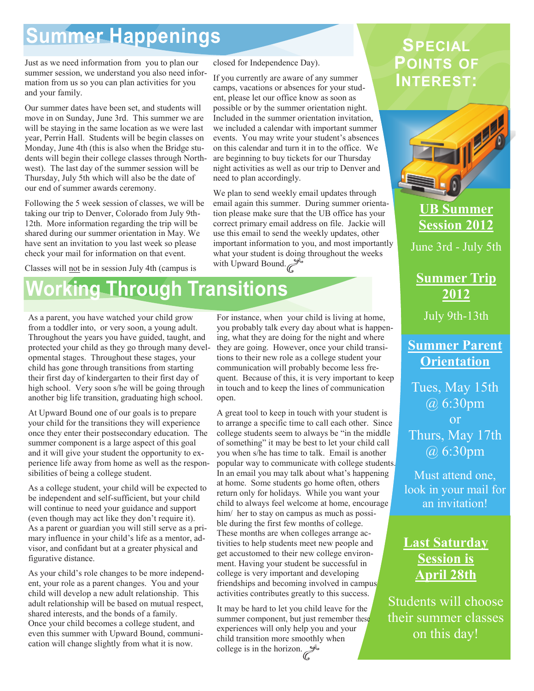### **Summer Happenings**

Just as we need information from you to plan our summer session, we understand you also need information from us so you can plan activities for you and your family.

Our summer dates have been set, and students will move in on Sunday, June 3rd. This summer we are will be staying in the same location as we were last year, Perrin Hall. Students will be begin classes on Monday, June 4th (this is also when the Bridge students will begin their college classes through Northwest). The last day of the summer session will be Thursday, July 5th which will also be the date of our end of summer awards ceremony.

Following the 5 week session of classes, we will be taking our trip to Denver, Colorado from July 9th-12th. More information regarding the trip will be shared during our summer orientation in May. We have sent an invitation to you last week so please check your mail for information on that event.

Classes will not be in session July 4th (campus is

#### closed for Independence Day).

If you currently are aware of any summer camps, vacations or absences for your student, please let our office know as soon as possible or by the summer orientation night. Included in the summer orientation invitation, we included a calendar with important summer events. You may write your student's absences on this calendar and turn it in to the office. We are beginning to buy tickets for our Thursday night activities as well as our trip to Denver and need to plan accordingly.

We plan to send weekly email updates through email again this summer. During summer orientation please make sure that the UB office has your correct primary email address on file. Jackie will use this email to send the weekly updates, other important information to you, and most importantly what your student is doing throughout the weeks with Upward Bound.

## **Working Through Transitions**

As a parent, you have watched your child grow from a toddler into, or very soon, a young adult. Throughout the years you have guided, taught, and protected your child as they go through many developmental stages. Throughout these stages, your child has gone through transitions from starting their first day of kindergarten to their first day of high school. Very soon s/he will be going through another big life transition, graduating high school.

At Upward Bound one of our goals is to prepare your child for the transitions they will experience once they enter their postsecondary education. The summer component is a large aspect of this goal and it will give your student the opportunity to experience life away from home as well as the responsibilities of being a college student.

As a college student, your child will be expected to be independent and self-sufficient, but your child will continue to need your guidance and support (even though may act like they don't require it). As a parent or guardian you will still serve as a primary influence in your child's life as a mentor, advisor, and confidant but at a greater physical and figurative distance.

As your child's role changes to be more independent, your role as a parent changes. You and your child will develop a new adult relationship. This adult relationship will be based on mutual respect, shared interests, and the bonds of a family. Once your child becomes a college student, and even this summer with Upward Bound, communication will change slightly from what it is now.

For instance, when your child is living at home, you probably talk every day about what is happening, what they are doing for the night and where they are going. However, once your child transitions to their new role as a college student your communication will probably become less frequent. Because of this, it is very important to keep in touch and to keep the lines of communication open.

A great tool to keep in touch with your student is to arrange a specific time to call each other. Since college students seem to always be "in the middle of something" it may be best to let your child call you when s/he has time to talk. Email is another popular way to communicate with college students. In an email you may talk about what's happening at home. Some students go home often, others return only for holidays. While you want your child to always feel welcome at home, encourage him/ her to stay on campus as much as possible during the first few months of college. These months are when colleges arrange activities to help students meet new people and get accustomed to their new college environment. Having your student be successful in college is very important and developing friendships and becoming involved in campus activities contributes greatly to this success.

It may be hard to let you child leave for the summer component, but just remember these experiences will only help you and your child transition more smoothly when college is in the horizon.

#### **SPECIAL POINTS OF INTEREST:**



**UB Summer Session 2012**

June 3rd - July 5th

**Summer Trip 2012**

July 9th-13th

#### **Summer Parent Orientation**

Tues, May 15th @ 6:30pm or Thurs, May 17th @ 6:30pm

Must attend one, look in your mail for an invitation!

#### **Last Saturday Session is April 28th**

Students will choose their summer classes on this day!